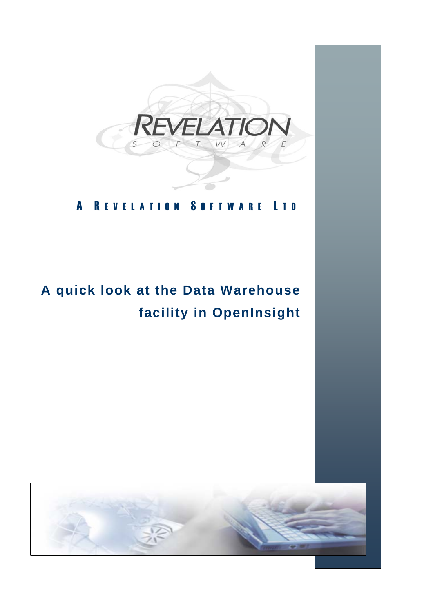

## A REVELATION SOFTWARE LTD

# **A quick look at the Data Warehouse facility in OpenInsight**

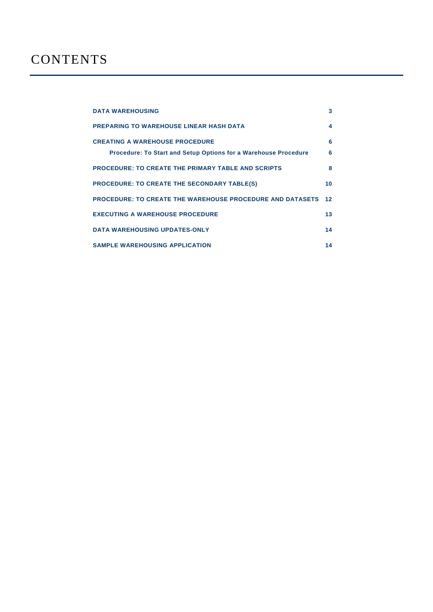| <b>DATA WAREHOUSING</b>                                                                                  | 3       |
|----------------------------------------------------------------------------------------------------------|---------|
| PREPARING TO WAREHOUSE LINEAR HASH DATA                                                                  | 4       |
| <b>CREATING A WAREHOUSE PROCEDURE</b><br>Procedure: To Start and Setup Options for a Warehouse Procedure | 6<br>6  |
| <b>PROCEDURE: TO CREATE THE PRIMARY TABLE AND SCRIPTS</b>                                                | 8       |
| <b>PROCEDURE: TO CREATE THE SECONDARY TABLE(S)</b>                                                       | 10      |
| <b>PROCEDURE: TO CREATE THE WAREHOUSE PROCEDURE AND DATASETS</b>                                         | $12 \,$ |
| <b>EXECUTING A WAREHOUSE PROCEDURE</b>                                                                   | 13      |
| <b>DATA WAREHOUSING UPDATES-ONLY</b>                                                                     | 14      |
| <b>SAMPLE WAREHOUSING APPLICATION</b>                                                                    | 14      |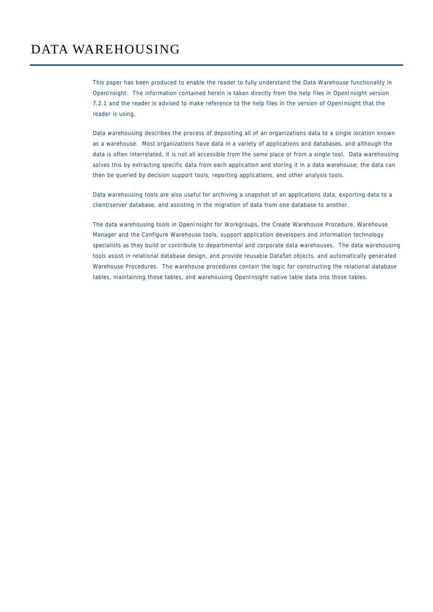## DATA WAREHOUSING

This paper has been produced to enable the reader to fully understand the Data Warehouse functionality in OpenInsight. The information contained herein is taken directly from the help files in OpenInsight version 7.2.1 and the reader is advised to make reference to the help files in the version of OpenInsight that the reader is using.

Data warehousing describes the process of depositing all of an organizations data to a single location known as a warehouse. Most organizations have data in a variety of applications and databases, and although the data is often interrelated, it is not all accessible from the same place or from a single tool. Data warehousing solves this by extracting specific data from each application and storing it in a data warehouse; the data can then be queried by decision support tools, reporting applications, and other analysis tools.

Data warehousing tools are also useful for archiving a snapshot of an applications data, exporting data to a client/server database, and assisting in the migration of data from one database to another.

The data warehousing tools in OpenInsight for Workgroups, the Create Warehouse Procedure, Warehouse Manager and the Configure Warehouse tools, support application developers and information technology specialists as they build or contribute to departmental and corporate data warehouses. The data warehousing tools assist in relational database design, and provide reusable DataSet objects, and automatically generated Warehouse Procedures. The warehouse procedures contain the logic for constructing the relational database tables, maintaining those tables, and warehousing OpenInsight native table data into those tables.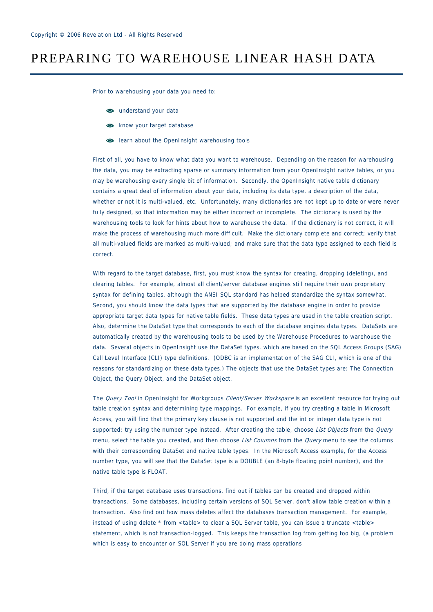## PREPARING TO WAREHOUSE LINEAR HASH DATA

Prior to warehousing your data you need to:

- $\bullet$  understand your data
- so know your target database
- learn about the OpenInsight warehousing tools

First of all, you have to know what data you want to warehouse. Depending on the reason for warehousing the data, you may be extracting sparse or summary information from your OpenInsight native tables, or you may be warehousing every single bit of information. Secondly, the OpenInsight native table dictionary contains a great deal of information about your data, including its data type, a description of the data, whether or not it is multi-valued, etc. Unfortunately, many dictionaries are not kept up to date or were never fully designed, so that information may be either incorrect or incomplete. The dictionary is used by the warehousing tools to look for hints about how to warehouse the data. If the dictionary is not correct, it will make the process of warehousing much more difficult. Make the dictionary complete and correct; verify that all multi-valued fields are marked as multi-valued; and make sure that the data type assigned to each field is correct.

With regard to the target database, first, you must know the syntax for creating, dropping (deleting), and clearing tables. For example, almost all client/server database engines still require their own proprietary syntax for defining tables, although the ANSI SQL standard has helped standardize the syntax somewhat. Second, you should know the data types that are supported by the database engine in order to provide appropriate target data types for native table fields. These data types are used in the table creation script. Also, determine the DataSet type that corresponds to each of the database engines data types. DataSets are automatically created by the warehousing tools to be used by the Warehouse Procedures to warehouse the data. Several objects in OpenInsight use the DataSet types, which are based on the SQL Access Groups (SAG) Call Level Interface (CLI) type definitions. (ODBC is an implementation of the SAG CLI, which is one of the reasons for standardizing on these data types.) The objects that use the DataSet types are: The Connection Object, the Query Object, and the DataSet object.

The Query Tool in OpenInsight for Workgroups Client/Server Workspace is an excellent resource for trying out table creation syntax and determining type mappings. For example, if you try creating a table in Microsoft Access, you will find that the primary key clause is not supported and the int or integer data type is not supported; try using the number type instead. After creating the table, choose List Objects from the Query menu, select the table you created, and then choose List Columns from the Query menu to see the columns with their corresponding DataSet and native table types. In the Microsoft Access example, for the Access number type, you will see that the DataSet type is a DOUBLE (an 8-byte floating point number), and the native table type is FLOAT.

Third, if the target database uses transactions, find out if tables can be created and dropped within transactions. Some databases, including certain versions of SQL Server, don't allow table creation within a transaction. Also find out how mass deletes affect the databases transaction management. For example, instead of using delete \* from <table> to clear a SQL Server table, you can issue a truncate <table> statement, which is not transaction-logged. This keeps the transaction log from getting too big, (a problem which is easy to encounter on SQL Server if you are doing mass operations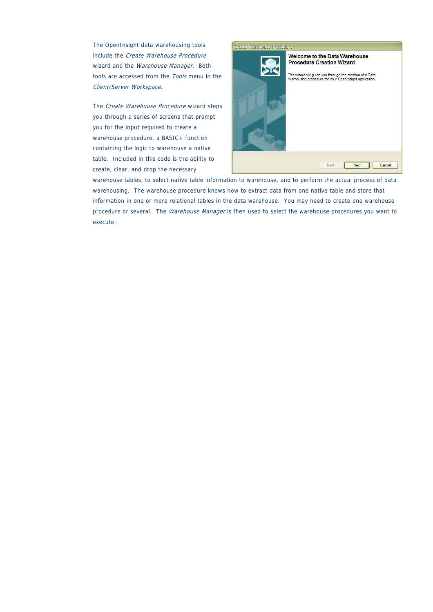The OpenInsight data warehousing tools include the Create Warehouse Procedure wizard and the Warehouse Manager. Both tools are accessed from the Tools menu in the Client/Server Workspace.

The Create Warehouse Procedure wizard steps you through a series of screens that prompt you for the input required to create a warehouse procedure, a BASIC+ function containing the logic to warehouse a native table. Included in this code is the ability to create, clear, and drop the necessary



warehouse tables, to select native table information to warehouse, and to perform the actual process of data warehousing. The warehouse procedure knows how to extract data from one native table and store that information in one or more relational tables in the data warehouse. You may need to create one warehouse procedure or several. The Warehouse Manager is then used to select the warehouse procedures you want to execute.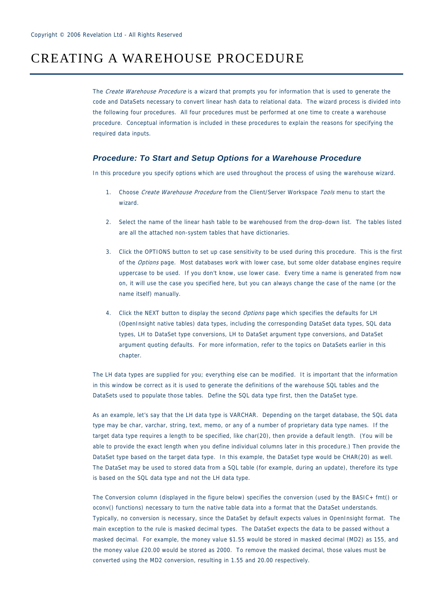#### CREATING A WAREHOUSE PROCEDURE

The Create Warehouse Procedure is a wizard that prompts you for information that is used to generate the code and DataSets necessary to convert linear hash data to relational data. The wizard process is divided into the following four procedures. All four procedures must be performed at one time to create a warehouse procedure. Conceptual information is included in these procedures to explain the reasons for specifying the required data inputs.

#### *Procedure: To Start and Setup Options for a Warehouse Procedure*

In this procedure you specify options which are used throughout the process of using the warehouse wizard.

- 1. Choose Create Warehouse Procedure from the Client/Server Workspace Tools menu to start the wizard.
- 2. Select the name of the linear hash table to be warehoused from the drop-down list. The tables listed are all the attached non-system tables that have dictionaries.
- 3. Click the OPTIONS button to set up case sensitivity to be used during this procedure. This is the first of the Options page. Most databases work with lower case, but some older database engines require uppercase to be used. If you don't know, use lower case. Every time a name is generated from now on, it will use the case you specified here, but you can always change the case of the name (or the name itself) manually.
- 4. Click the NEXT button to display the second Options page which specifies the defaults for LH (OpenInsight native tables) data types, including the corresponding DataSet data types, SQL data types, LH to DataSet type conversions, LH to DataSet argument type conversions, and DataSet argument quoting defaults. For more information, refer to the topics on DataSets earlier in this chapter.

The LH data types are supplied for you; everything else can be modified. It is important that the information in this window be correct as it is used to generate the definitions of the warehouse SQL tables and the DataSets used to populate those tables. Define the SQL data type first, then the DataSet type.

As an example, let's say that the LH data type is VARCHAR. Depending on the target database, the SQL data type may be char, varchar, string, text, memo, or any of a number of proprietary data type names. If the target data type requires a length to be specified, like char(20), then provide a default length. (You will be able to provide the exact length when you define individual columns later in this procedure.) Then provide the DataSet type based on the target data type. In this example, the DataSet type would be CHAR(20) as well. The DataSet may be used to stored data from a SQL table (for example, during an update), therefore its type is based on the SQL data type and not the LH data type.

The Conversion column (displayed in the figure below) specifies the conversion (used by the BASIC+ fmt() or oconv() functions) necessary to turn the native table data into a format that the DataSet understands. Typically, no conversion is necessary, since the DataSet by default expects values in OpenInsight format. The main exception to the rule is masked decimal types. The DataSet expects the data to be passed without a masked decimal. For example, the money value \$1.55 would be stored in masked decimal (MD2) as 155, and the money value £20.00 would be stored as 2000. To remove the masked decimal, those values must be converted using the MD2 conversion, resulting in 1.55 and 20.00 respectively.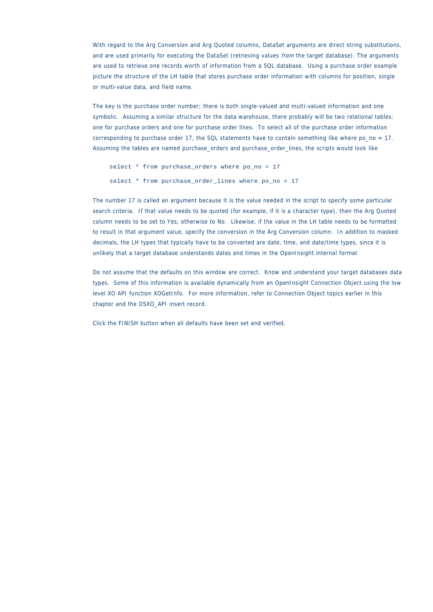With regard to the Arg Conversion and Arg Quoted columns, DataSet arguments are direct string substitutions, and are used primarily for executing the DataSet (retrieving values *from* the target database). The arguments are used to retrieve one records worth of information from a SQL database. Using a purchase order example picture the structure of the LH table that stores purchase order information with columns for position, single or multi-value data, and field name.

The key is the purchase order number; there is both single-valued and multi-valued information and one symbolic. Assuming a similar structure for the data warehouse, there probably will be two relational tables: one for purchase orders and one for purchase order lines. To select all of the purchase order information corresponding to purchase order 17, the SQL statements have to contain something like where po\_no = 17. Assuming the tables are named purchase\_orders and purchase\_order\_lines, the scripts would look like

```
 select * from purchase_orders where po_no = 17 
 select * from purchase_order_lines where po_no = 17
```
The number 17 is called an argument because it is the value needed in the script to specify some particular search criteria. If that value needs to be quoted (for example, if it is a character type), then the Arg Quoted column needs to be set to Yes, otherwise to No. Likewise, if the value in the LH table needs to be formatted to result in that argument value, specify the conversion in the Arg Conversion column. In addition to masked decimals, the LH types that typically have to be converted are date, time, and date/time types, since it is unlikely that a target database understands dates and times in the OpenInsight internal format

Do not assume that the defaults on this window are correct. Know and understand your target databases data types. Some of this information is available dynamically from an OpenInsight Connection Object using the low level XO API function XOGetInfo. For more information, refer to Connection Object topics earlier in this chapter and the DSXO\_API insert record.

Click the FINISH button when all defaults have been set and verified.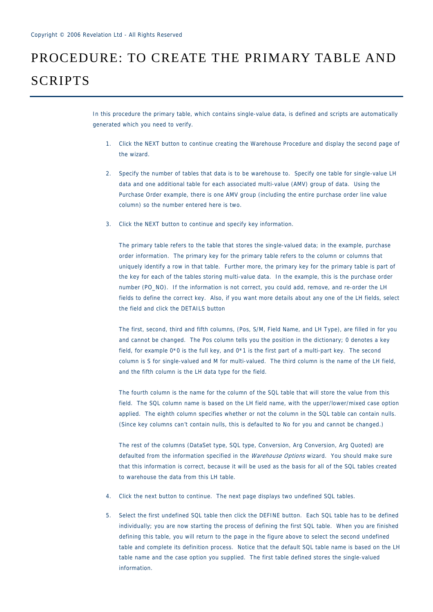## PROCEDURE: TO CREATE THE PRIMARY TABLE AND SCRIPTS

In this procedure the primary table, which contains single-value data, is defined and scripts are automatically generated which you need to verify.

- 1. Click the NEXT button to continue creating the Warehouse Procedure and display the second page of the wizard.
- 2. Specify the number of tables that data is to be warehouse to. Specify one table for single-value LH data and one additional table for each associated multi-value (AMV) group of data. Using the Purchase Order example, there is one AMV group (including the entire purchase order line value column) so the number entered here is two.
- 3. Click the NEXT button to continue and specify key information.

The primary table refers to the table that stores the single-valued data; in the example, purchase order information. The primary key for the primary table refers to the column or columns that uniquely identify a row in that table. Further more, the primary key for the primary table is part of the key for each of the tables storing multi-value data. In the example, this is the purchase order number (PO\_NO). If the information is not correct, you could add, remove, and re-order the LH fields to define the correct key. Also, if you want more details about any one of the LH fields, select the field and click the DETAILS button

The first, second, third and fifth columns, (Pos, S/M, Field Name, and LH Type), are filled in for you and cannot be changed. The Pos column tells you the position in the dictionary; 0 denotes a key field, for example 0\*0 is the full key, and 0\*1 is the first part of a multi-part key. The second column is S for single-valued and M for multi-valued. The third column is the name of the LH field, and the fifth column is the LH data type for the field.

The fourth column is the name for the column of the SQL table that will store the value from this field. The SQL column name is based on the LH field name, with the upper/lower/mixed case option applied. The eighth column specifies whether or not the column in the SQL table can contain nulls. (Since key columns can't contain nulls, this is defaulted to No for you and cannot be changed.)

The rest of the columns (DataSet type, SQL type, Conversion, Arg Conversion, Arg Quoted) are defaulted from the information specified in the Warehouse Options wizard. You should make sure that this information is correct, because it will be used as the basis for all of the SQL tables created to warehouse the data from this LH table.

- 4. Click the next button to continue. The next page displays two undefined SQL tables.
- 5. Select the first undefined SQL table then click the DEFINE button. Each SQL table has to be defined individually; you are now starting the process of defining the first SQL table. When you are finished defining this table, you will return to the page in the figure above to select the second undefined table and complete its definition process. Notice that the default SQL table name is based on the LH table name and the case option you supplied. The first table defined stores the single-valued information.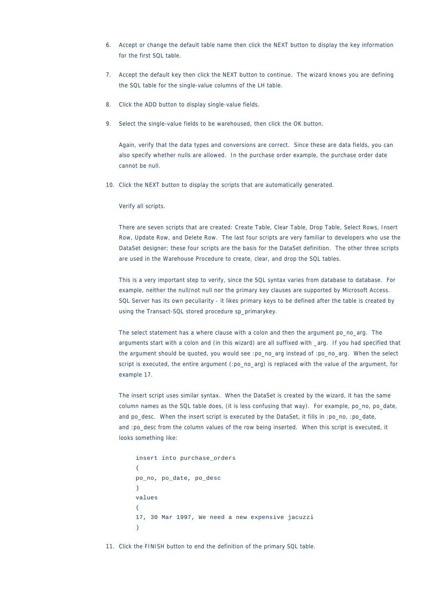- 6. Accept or change the default table name then click the NEXT button to display the key information for the first SQL table.
- 7. Accept the default key then click the NEXT button to continue. The wizard knows you are defining the SQL table for the single-value columns of the LH table.
- 8. Click the ADD button to display single-value fields.
- 9. Select the single-value fields to be warehoused, then click the OK button.

Again, verify that the data types and conversions are correct. Since these are data fields, you can also specify whether nulls are allowed. In the purchase order example, the purchase order date cannot be null.

10. Click the NEXT button to display the scripts that are automatically generated.

Verify all scripts.

There are seven scripts that are created: Create Table, Clear Table, Drop Table, Select Rows, Insert Row, Update Row, and Delete Row. The last four scripts are very familiar to developers who use the DataSet designer; these four scripts are the basis for the DataSet definition. The other three scripts are used in the Warehouse Procedure to create, clear, and drop the SQL tables.

This is a very important step to verify, since the SQL syntax varies from database to database. For example, neither the null/not null nor the primary key clauses are supported by Microsoft Access. SQL Server has its own peculiarity - it likes primary keys to be defined after the table is created by using the Transact-SQL stored procedure sp\_primarykey.

The select statement has a where clause with a colon and then the argument po\_no\_arg. The arguments start with a colon and (in this wizard) are all suffixed with \_arg. If you had specified that the argument should be quoted, you would see :po\_no\_arg instead of :po\_no\_arg. When the select script is executed, the entire argument (:po\_no\_arg) is replaced with the value of the argument, for example 17.

The insert script uses similar syntax. When the DataSet is created by the wizard, it has the same column names as the SQL table does, (it is less confusing that way). For example, po\_no, po\_date, and po\_desc. When the insert script is executed by the DataSet, it fills in :po\_no, :po\_date, and :po\_desc from the column values of the row being inserted. When this script is executed, it looks something like:

```
insert into purchase_orders 
\mathcal{L} po_no, po_date, po_desc 
\lambda values 
\left( 17, 30 Mar 1997, We need a new expensive jacuzzi 
\lambda
```
11. Click the FINISH button to end the definition of the primary SQL table.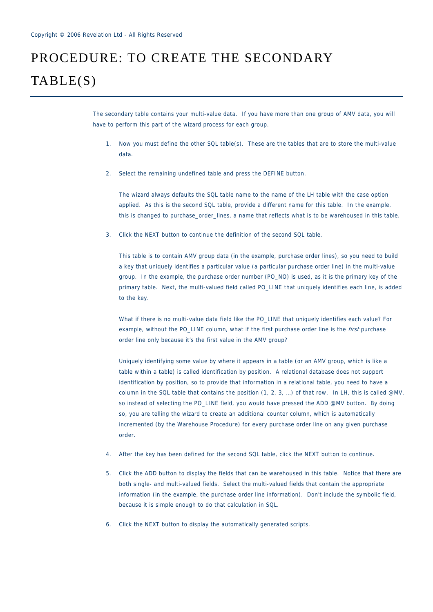## PROCEDURE: TO CREATE THE SECONDARY TABLE(S)

The secondary table contains your multi-value data. If you have more than one group of AMV data, you will have to perform this part of the wizard process for each group.

- 1. Now you must define the other SQL table(s). These are the tables that are to store the multi-value data.
- 2. Select the remaining undefined table and press the DEFINE button.

The wizard always defaults the SQL table name to the name of the LH table with the case option applied. As this is the second SQL table, provide a different name for this table. In the example, this is changed to purchase\_order\_lines, a name that reflects what is to be warehoused in this table.

3. Click the NEXT button to continue the definition of the second SQL table.

This table is to contain AMV group data (in the example, purchase order lines), so you need to build a key that uniquely identifies a particular value (a particular purchase order line) in the multi-value group. In the example, the purchase order number (PO\_NO) is used, as it is the primary key of the primary table. Next, the multi-valued field called PO\_LINE that uniquely identifies each line, is added to the key.

What if there is no multi-value data field like the PO\_LINE that uniquely identifies each value? For example, without the PO\_LINE column, what if the first purchase order line is the first purchase order line only because it's the first value in the AMV group?

Uniquely identifying some value by where it appears in a table (or an AMV group, which is like a table within a table) is called identification by position. A relational database does not support identification by position, so to provide that information in a relational table, you need to have a column in the SQL table that contains the position (1, 2, 3, …) of that row. In LH, this is called @MV, so instead of selecting the PO\_LINE field, you would have pressed the ADD @MV button. By doing so, you are telling the wizard to create an additional counter column, which is automatically incremented (by the Warehouse Procedure) for every purchase order line on any given purchase order.

- 4. After the key has been defined for the second SQL table, click the NEXT button to continue.
- 5. Click the ADD button to display the fields that can be warehoused in this table. Notice that there are both single- and multi-valued fields. Select the multi-valued fields that contain the appropriate information (in the example, the purchase order line information). Don't include the symbolic field, because it is simple enough to do that calculation in SQL.
- 6. Click the NEXT button to display the automatically generated scripts.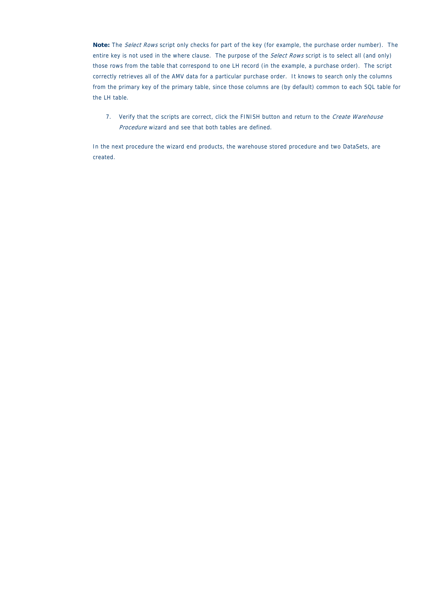**Note:** The Select Rows script only checks for part of the key (for example, the purchase order number). The entire key is not used in the where clause. The purpose of the Select Rows script is to select all (and only) those rows from the table that correspond to one LH record (in the example, a purchase order). The script correctly retrieves all of the AMV data for a particular purchase order. It knows to search only the columns from the primary key of the primary table, since those columns are (by default) common to each SQL table for the LH table.

7. Verify that the scripts are correct, click the FINISH button and return to the Create Warehouse Procedure wizard and see that both tables are defined.

In the next procedure the wizard end products, the warehouse stored procedure and two DataSets, are created.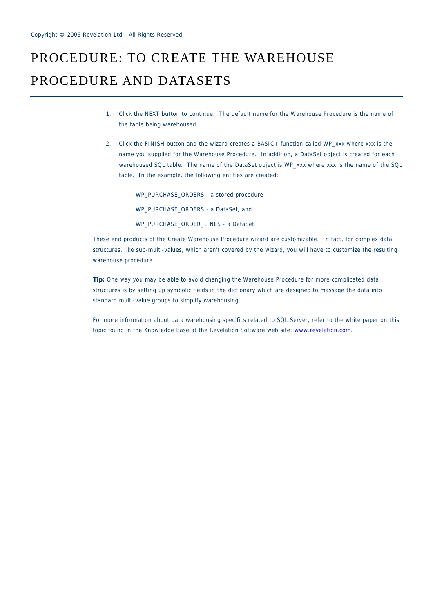## PROCEDURE: TO CREATE THE WAREHOUSE PROCEDURE AND DATASETS

- 1. Click the NEXT button to continue. The default name for the Warehouse Procedure is the name of the table being warehoused.
- 2. Click the FINISH button and the wizard creates a BASIC+ function called WP\_xxx where xxx is the name you supplied for the Warehouse Procedure. In addition, a DataSet object is created for each warehoused SQL table. The name of the DataSet object is WP\_xxx where xxx is the name of the SQL table. In the example, the following entities are created:

WP\_PURCHASE\_ORDERS - a stored procedure WP\_PURCHASE\_ORDERS - a DataSet, and WP\_PURCHASE\_ORDER\_LINES - a DataSet.

These end products of the Create Warehouse Procedure wizard are customizable. In fact, for complex data structures, like sub-multi-values, which aren't covered by the wizard, you will have to customize the resulting warehouse procedure.

**Tip:** One way you may be able to avoid changing the Warehouse Procedure for more complicated data structures is by setting up symbolic fields in the dictionary which are designed to massage the data into standard multi-value groups to simplify warehousing.

For more information about data warehousing specifics related to SQL Server, refer to the white paper on this topic found in the Knowledge Base at the Revelation Software web site: www.revelation.com.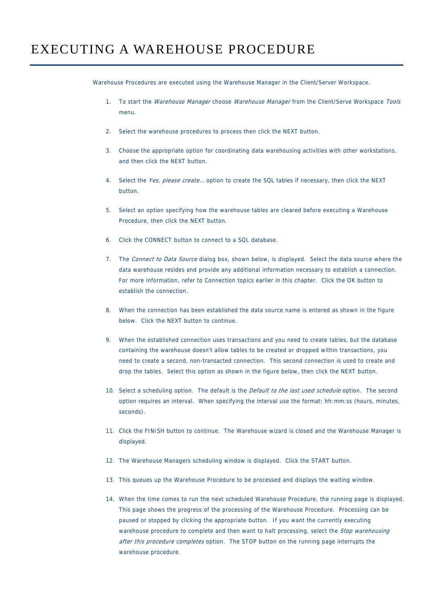Warehouse Procedures are executed using the Warehouse Manager in the Client/Server Workspace.

- 1. To start the *Warehouse Manager* choose *Warehouse Manager* from the Client/Serve Workspace Tools menu.
- 2. Select the warehouse procedures to process then click the NEXT button.
- 3. Choose the appropriate option for coordinating data warehousing activities with other workstations, and then click the NEXT button.
- 4. Select the Yes, please create... option to create the SQL tables if necessary, then click the NEXT button.
- 5. Select an option specifying how the warehouse tables are cleared before executing a Warehouse Procedure, then click the NEXT button.
- 6. Click the CONNECT button to connect to a SQL database.
- 7. The Connect to Data Source dialog box, shown below, is displayed. Select the data source where the data warehouse resides and provide any additional information necessary to establish a connection. For more information, refer to Connection topics earlier in this chapter. Click the OK button to establish the connection.
- 8. When the connection has been established the data source name is entered as shown in the figure below. Click the NEXT button to continue.
- 9. When the established connection uses transactions and you need to create tables, but the database containing the warehouse doesn't allow tables to be created or dropped within transactions, you need to create a second, non-transacted connection. This second connection is used to create and drop the tables. Select this option as shown in the figure below, then click the NEXT button.
- 10. Select a scheduling option. The default is the *Default to the last used schedule* option. The second option requires an interval. When specifying the interval use the format: hh:mm:ss (hours, minutes, seconds).
- 11. Click the FINISH button to continue. The Warehouse wizard is closed and the Warehouse Manager is displayed.
- 12. The Warehouse Managers scheduling window is displayed. Click the START button.
- 13. This queues up the Warehouse Procedure to be processed and displays the waiting window.
- 14. When the time comes to run the next scheduled Warehouse Procedure, the running page is displayed. This page shows the progress of the processing of the Warehouse Procedure. Processing can be paused or stopped by clicking the appropriate button. If you want the currently executing warehouse procedure to complete and then want to halt processing, select the *Stop warehousing* after this procedure completes option. The STOP button on the running page interrupts the warehouse procedure.